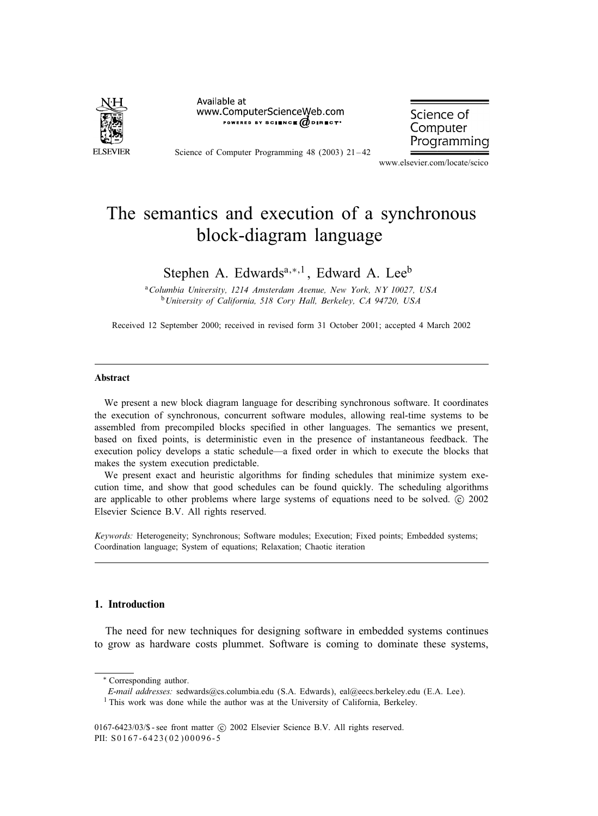

Available at www.ComputerScienceWeb.com POWERED BY SCIENCE @DIRECT\*

Science of Computer Programming 48 (2003) 21-42

Science of Computer Programming

www.elsevier.com/locate/scico

# The semantics and execution of a synchronous block-diagram language

# Stephen A. Edwards<sup>a,∗,1</sup>, Edward A. Lee<sup>b</sup>

<sup>a</sup>*Columbia University, 1214 Amsterdam Avenue, New York, NY 10027, USA* <sup>b</sup>*University of California, 518Cory Hall, Berkeley, CA 94720, USA*

Received 12 September 2000; received in revised form 31 October 2001; accepted 4 March 2002

#### Abstract

We present a new block diagram language for describing synchronous software. It coordinates the execution of synchronous, concurrent software modules, allowing real-time systems to be assembled from precompiled blocks specified in other languages. The semantics we present, based on fixed points, is deterministic even in the presence of instantaneous feedback. The execution policy develops a static schedule—a fixed order in which to execute the blocks that makes the system execution predictable.

We present exact and heuristic algorithms for finding schedules that minimize system execution time, and show that good schedules can be found quickly. The scheduling algorithms are applicable to other problems where large systems of equations need to be solved. © 2002 Elsevier Science B.V. All rights reserved.

*Keywords:* Heterogeneity; Synchronous; Software modules; Execution; Fixed points; Embedded systems; Coordination language; System of equations; Relaxation; Chaotic iteration

#### 1. Introduction

The need for new techniques for designing software in embedded systems continues to grow as hardware costs plummet. Software is coming to dominate these systems,

<sup>∗</sup> Corresponding author.

*E-mail addresses:* sedwards@cs.columbia.edu (S.A. Edwards), eal@eecs.berkeley.edu (E.A. Lee).

<sup>&</sup>lt;sup>1</sup> This work was done while the author was at the University of California, Berkeley.

<sup>0167-6423/03/\$ -</sup> see front matter  $\odot$  2002 Elsevier Science B.V. All rights reserved. PII: S0167-6423(02)00096-5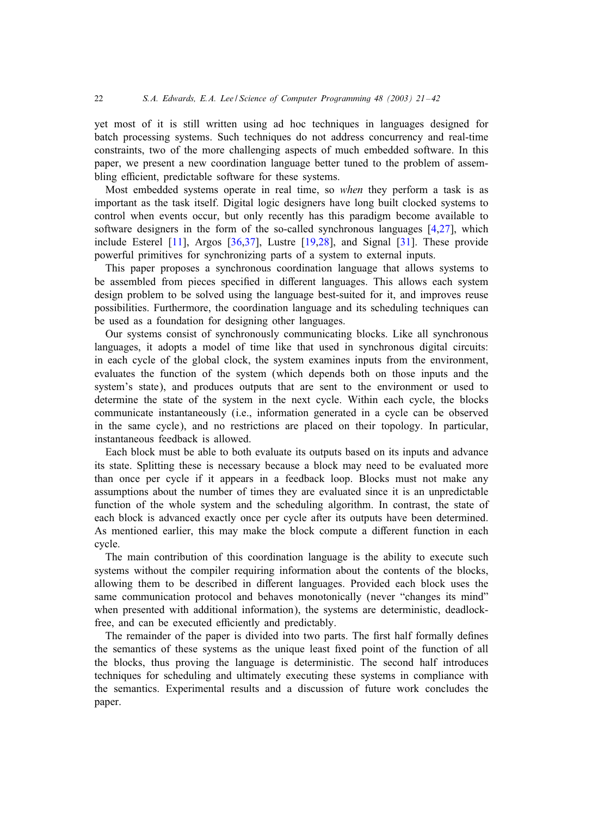yet most of it is still written using ad hoc techniques in languages designed for batch processing systems. Such techniques do not address concurrency and real-time constraints, two of the more challenging aspects of much embedded software. In this paper, we present a new coordination language better tuned to the problem of assembling efficient, predictable software for these systems.

Most embedded systems operate in real time, so *when* they perform a task is as important as the task itself. Digital logic designers have long built clocked systems to control when events occur, but only recently has this paradigm become available to software designers in the form of the so-called synchronous languages [\[4](#page-20-0)[,27\]](#page-21-0), which include Esterel [\[11\]](#page-20-0), Argos [\[36,37\]](#page-21-0), Lustre [\[19](#page-20-0)[,28\]](#page-21-0), and Signal [\[31\]](#page-21-0). These provide powerful primitives for synchronizing parts of a system to external inputs.

This paper proposes a synchronous coordination language that allows systems to be assembled from pieces specified in different languages. This allows each system design problem to be solved using the language best-suited for it, and improves reuse possibilities. Furthermore, the coordination language and its scheduling techniques can be used as a foundation for designing other languages.

Our systems consist of synchronously communicating blocks. Like all synchronous languages, it adopts a model of time like that used in synchronous digital circuits: in each cycle of the global clock, the system examines inputs from the environment, evaluates the function of the system (which depends both on those inputs and the system's state), and produces outputs that are sent to the environment or used to determine the state of the system in the next cycle. Within each cycle, the blocks communicate instantaneously (i.e., information generated in a cycle can be observed in the same cycle), and no restrictions are placed on their topology. In particular, instantaneous feedback is allowed.

Each block must be able to both evaluate its outputs based on its inputs and advance its state. Splitting these is necessary because a block may need to be evaluated more than once per cycle if it appears in a feedback loop. Blocks must not make any assumptions about the number of times they are evaluated since it is an unpredictable function of the whole system and the scheduling algorithm. In contrast, the state of each block is advanced exactly once per cycle after its outputs have been determined. As mentioned earlier, this may make the block compute a diFerent function in each cycle.

The main contribution of this coordination language is the ability to execute such systems without the compiler requiring information about the contents of the blocks, allowing them to be described in diFerent languages. Provided each block uses the same communication protocol and behaves monotonically (never "changes its mind" when presented with additional information), the systems are deterministic, deadlockfree, and can be executed efficiently and predictably.

The remainder of the paper is divided into two parts. The first half formally defines the semantics of these systems as the unique least fixed point of the function of all the blocks, thus proving the language is deterministic. The second half introduces techniques for scheduling and ultimately executing these systems in compliance with the semantics. Experimental results and a discussion of future work concludes the paper.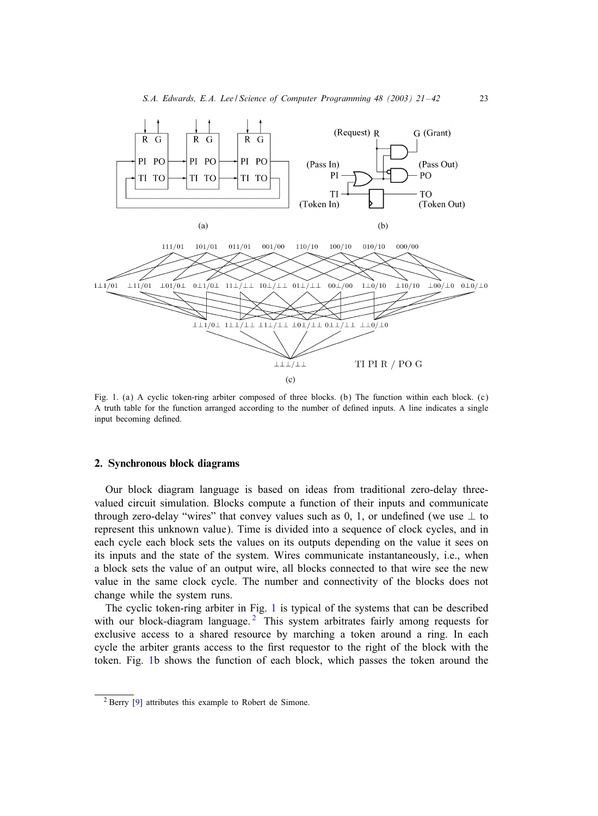<span id="page-2-0"></span>

Fig. 1. (a) A cyclic token-ring arbiter composed of three blocks. (b) The function within each block. (c) A truth table for the function arranged according to the number of defined inputs. A line indicates a single input becoming defined.

#### 2. Synchronous block diagrams

Our block diagram language is based on ideas from traditional zero-delay threevalued circuit simulation. Blocks compute a function of their inputs and communicate through zero-delay "wires" that convey values such as 0, 1, or undefined (we use  $\perp$  to represent this unknown value). Time is divided into a sequence of clock cycles, and in each cycle each block sets the values on its outputs depending on the value it sees on its inputs and the state of the system. Wires communicate instantaneously, i.e., when a block sets the value of an output wire, all blocks connected to that wire see the new value in the same clock cycle. The number and connectivity of the blocks does not change while the system runs.

The cyclic token-ring arbiter in Fig. 1 is typical of the systems that can be described with our block-diagram language.<sup>2</sup> This system arbitrates fairly among requests for exclusive access to a shared resource by marching a token around a ring. In each cycle the arbiter grants access to the first requestor to the right of the block with the token. Fig. 1b shows the function of each block, which passes the token around the

<sup>2</sup> Berry [\[9\]](#page-20-0) attributes this example to Robert de Simone.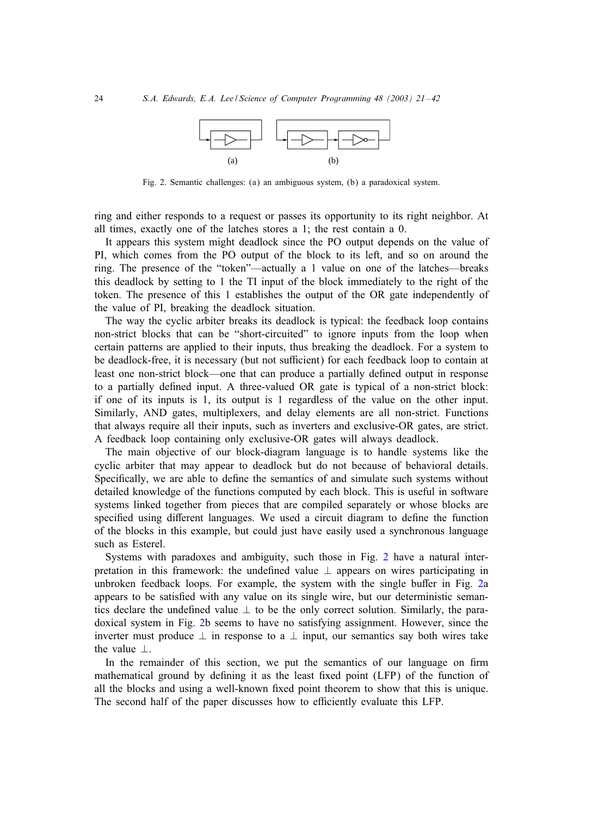

Fig. 2. Semantic challenges: (a) an ambiguous system, (b) a paradoxical system.

ring and either responds to a request or passes its opportunity to its right neighbor. At all times, exactly one of the latches stores a 1; the rest contain a 0.

It appears this system might deadlock since the PO output depends on the value of PI, which comes from the PO output of the block to its left, and so on around the ring. The presence of the "token"—actually a 1 value on one of the latches—breaks this deadlock by setting to 1 the TI input of the block immediately to the right of the token. The presence of this 1 establishes the output of the OR gate independently of the value of PI, breaking the deadlock situation.

The way the cyclic arbiter breaks its deadlock is typical: the feedback loop contains non-strict blocks that can be "short-circuited" to ignore inputs from the loop when certain patterns are applied to their inputs, thus breaking the deadlock. For a system to be deadlock-free, it is necessary (but not sufficient) for each feedback loop to contain at least one non-strict block—one that can produce a partially defined output in response to a partially defined input. A three-valued OR gate is typical of a non-strict block: if one of its inputs is 1, its output is 1 regardless of the value on the other input. Similarly, AND gates, multiplexers, and delay elements are all non-strict. Functions that always require all their inputs, such as inverters and exclusive-OR gates, are strict. A feedback loop containing only exclusive-OR gates will always deadlock.

The main objective of our block-diagram language is to handle systems like the cyclic arbiter that may appear to deadlock but do not because of behavioral details. Specifically, we are able to define the semantics of and simulate such systems without detailed knowledge of the functions computed by each block. This is useful in software systems linked together from pieces that are compiled separately or whose blocks are specified using different languages. We used a circuit diagram to define the function of the blocks in this example, but could just have easily used a synchronous language such as Esterel.

Systems with paradoxes and ambiguity, such those in Fig. 2 have a natural interpretation in this framework: the undefined value  $\perp$  appears on wires participating in unbroken feedback loops. For example, the system with the single buFer in Fig. 2a appears to be satisfied with any value on its single wire, but our deterministic semantics declare the undefined value  $\perp$  to be the only correct solution. Similarly, the paradoxical system in Fig. 2b seems to have no satisfying assignment. However, since the inverter must produce  $\perp$  in response to a  $\perp$  input, our semantics say both wires take the value  $\perp$ .

In the remainder of this section, we put the semantics of our language on firm mathematical ground by defining it as the least fixed point (LFP) of the function of all the blocks and using a well-known fixed point theorem to show that this is unique. The second half of the paper discusses how to efficiently evaluate this LFP.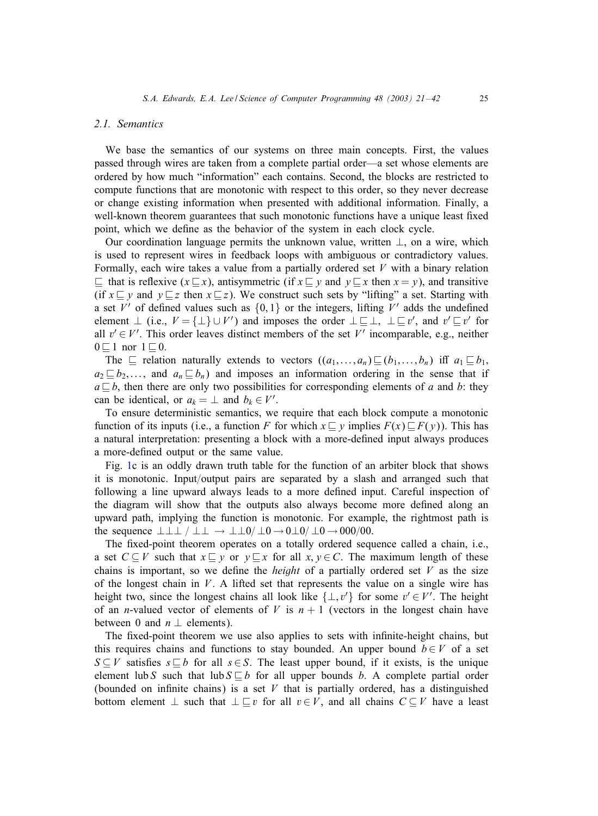#### *2.1. Semantics*

We base the semantics of our systems on three main concepts. First, the values passed through wires are taken from a complete partial order—a set whose elements are ordered by how much "information" each contains. Second, the blocks are restricted to compute functions that are monotonic with respect to this order, so they never decrease or change existing information when presented with additional information. Finally, a well-known theorem guarantees that such monotonic functions have a unique least fixed point, which we define as the behavior of the system in each clock cycle.

Our coordination language permits the unknown value, written  $\perp$ , on a wire, which is used to represent wires in feedback loops with ambiguous or contradictory values. Formally, each wire takes a value from a partially ordered set  $V$  with a binary relation  $\subseteq$  that is reflexive  $(x \subseteq x)$ , antisymmetric (if  $x \subseteq y$  and  $y \subseteq x$  then  $x = y$ ), and transitive (if  $x \sqsubseteq y$  and  $y \sqsubseteq z$  then  $x \sqsubseteq z$ ). We construct such sets by "lifting" a set. Starting with a set V' of defined values such as  $\{0, 1\}$  or the integers, lifting V' adds the undefined element  $\perp$  (i.e.,  $V = {\perp} \cup V'$ ) and imposes the order  $\perp \sqsubseteq \perp, \perp \sqsubseteq v'$ , and  $v' \sqsubseteq v'$  for all  $v' \in V'$ . This order leaves distinct members of the set V' incomparable, e.g., neither  $0 \sqsubseteq 1$  nor  $1 \sqsubseteq 0$ .

The  $\subseteq$  relation naturally extends to vectors  $((a_1,...,a_n) \sqsubseteq (b_1,...,b_n)$  iff  $a_1 \sqsubseteq b_1$ ,  $a_2 \sqsubseteq b_2, \ldots$ , and  $a_n \sqsubseteq b_n$ ) and imposes an information ordering in the sense that if  $a \sqsubseteq b$ , then there are only two possibilities for corresponding elements of a and b: they can be identical, or  $a_k = \perp$  and  $b_k \in V'.$ 

To ensure deterministic semantics, we require that each block compute a monotonic function of its inputs (i.e., a function F for which  $x \sqsubseteq y$  implies  $F(x) \sqsubseteq F(y)$ ). This has a natural interpretation: presenting a block with a more-defined input always produces a more-defined output or the same value.

Fig. [1c](#page-2-0) is an oddly drawn truth table for the function of an arbiter block that shows it is monotonic. Input/output pairs are separated by a slash and arranged such that following a line upward always leads to a more defined input. Careful inspection of the diagram will show that the outputs also always become more defined along an upward path, implying the function is monotonic. For example, the rightmost path is the sequence  $\perp \perp \perp / \perp \perp \rightarrow \perp \perp 0 / \perp 0 \rightarrow 0 \perp 0 / \perp 0 \rightarrow 000 / 00$ .

The fixed-point theorem operates on a totally ordered sequence called a chain, i.e., a set  $C \subseteq V$  such that  $x \sqsubseteq y$  or  $y \sqsubseteq x$  for all  $x, y \in C$ . The maximum length of these chains is important, so we define the *height* of a partially ordered set  $V$  as the size of the longest chain in  $V$ . A lifted set that represents the value on a single wire has height two, since the longest chains all look like  $\{\perp, v'\}$  for some  $v' \in V'$ . The height of an *n*-valued vector of elements of V is  $n + 1$  (vectors in the longest chain have between 0 and  $n \perp$  elements).

The fixed-point theorem we use also applies to sets with infinite-height chains, but this requires chains and functions to stay bounded. An upper bound  $b \in V$  of a set S  $\subseteq$  V satisfies  $s \sqsubseteq b$  for all  $s \in S$ . The least upper bound, if it exists, is the unique element lub S such that lub  $S \sqsubseteq b$  for all upper bounds b. A complete partial order (bounded on infinite chains) is a set  $V$  that is partially ordered, has a distinguished bottom element  $\perp$  such that  $\perp \sqsubseteq v$  for all  $v \in V$ , and all chains  $C \subseteq V$  have a least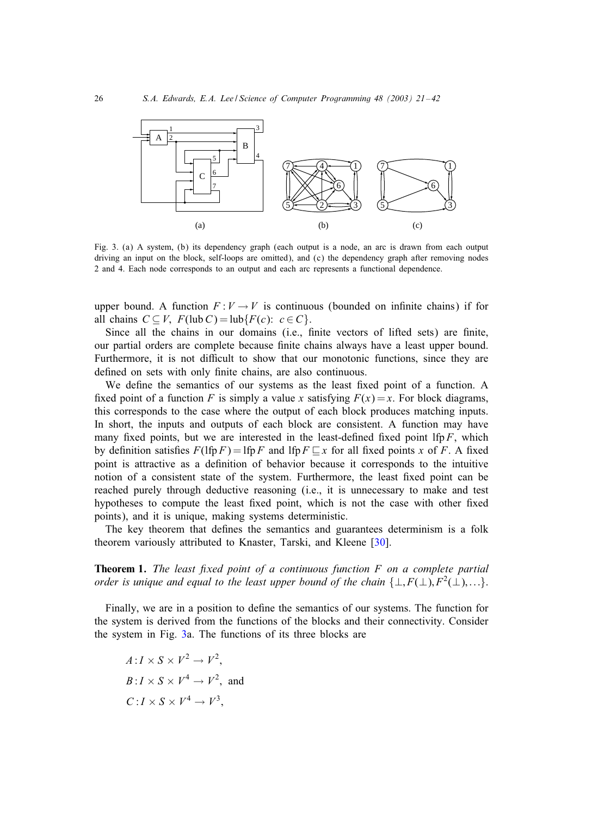<span id="page-5-0"></span>

Fig. 3. (a) A system, (b) its dependency graph (each output is a node, an arc is drawn from each output driving an input on the block, self-loops are omitted), and (c) the dependency graph after removing nodes 2 and 4. Each node corresponds to an output and each arc represents a functional dependence.

upper bound. A function  $F: V \to V$  is continuous (bounded on infinite chains) if for all chains  $C \subseteq V$ ,  $F(\text{lub } C) = \text{lub } \{F(c): c \in C\}$ .

Since all the chains in our domains (i.e., finite vectors of lifted sets) are finite, our partial orders are complete because finite chains always have a least upper bound. Furthermore, it is not difficult to show that our monotonic functions, since they are defined on sets with only finite chains, are also continuous.

We define the semantics of our systems as the least fixed point of a function. A fixed point of a function F is simply a value x satisfying  $F(x) = x$ . For block diagrams, this corresponds to the case where the output of each block produces matching inputs. In short, the inputs and outputs of each block are consistent. A function may have many fixed points, but we are interested in the least-defined fixed point lfp  $F$ , which by definition satisfies  $F(\text{lfp } F) = \text{lfp } F$  and  $\text{lfp } F \sqsubseteq x$  for all fixed points x of F. A fixed point is attractive as a definition of behavior because it corresponds to the intuitive notion of a consistent state of the system. Furthermore, the least fixed point can be reached purely through deductive reasoning (i.e., it is unnecessary to make and test hypotheses to compute the least fixed point, which is not the case with other fixed points), and it is unique, making systems deterministic.

The key theorem that defines the semantics and guarantees determinism is a folk theorem variously attributed to Knaster, Tarski, and Kleene [\[30\]](#page-21-0).

Theorem 1. *The least 5xed point of a continuous function* F *on a complete partial order is unique and equal to the least upper bound of the chain*  $\{\perp, F(\perp), F^2(\perp), ...\}$ .

Finally, we are in a position to define the semantics of our systems. The function for the system is derived from the functions of the blocks and their connectivity. Consider the system in Fig. 3a. The functions of its three blocks are

$$
A: I \times S \times V^2 \to V^2,
$$
  
\n
$$
B: I \times S \times V^4 \to V^2
$$
, and  
\n
$$
C: I \times S \times V^4 \to V^3
$$
,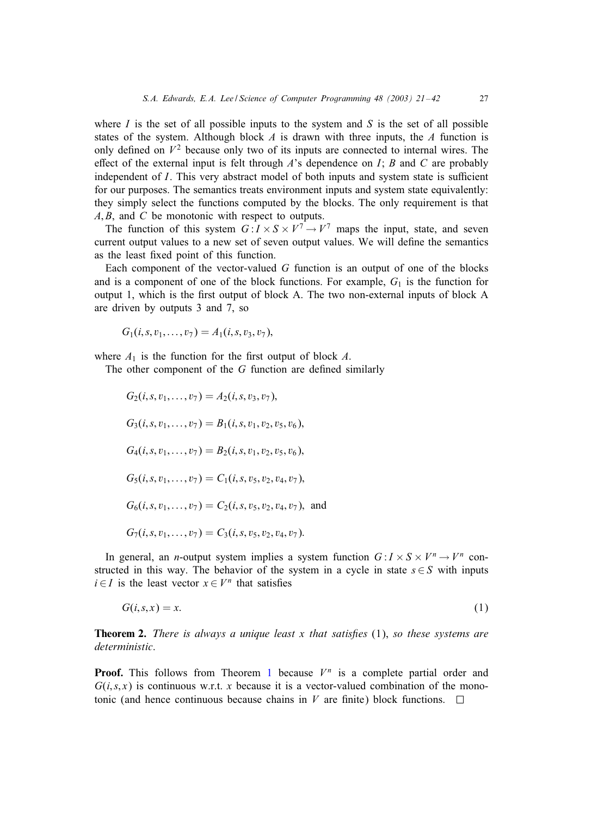where I is the set of all possible inputs to the system and S is the set of all possible states of the system. Although block  $A$  is drawn with three inputs, the  $A$  function is only defined on  $V^2$  because only two of its inputs are connected to internal wires. The effect of the external input is felt through A's dependence on I; B and C are probably independent of  $I$ . This very abstract model of both inputs and system state is sufficient for our purposes. The semantics treats environment inputs and system state equivalently: they simply select the functions computed by the blocks. The only requirement is that  $A, B$ , and  $C$  be monotonic with respect to outputs.

The function of this system  $G: I \times S \times V^{\perp} \to V^{\perp}$  maps the input, state, and seven current output values to a new set of seven output values. We will define the semantics as the least fixed point of this function.

Each component of the vector-valued G function is an output of one of the blocks and is a component of one of the block functions. For example,  $G_1$  is the function for output 1, which is the first output of block A. The two non-external inputs of block A are driven by outputs 3 and 7, so

$$
G_1(i,s,v_1,\ldots,v_7)=A_1(i,s,v_3,v_7),
$$

where  $A_1$  is the function for the first output of block A.

The other component of the  $G$  function are defined similarly

$$
G_2(i, s, v_1, \dots, v_7) = A_2(i, s, v_3, v_7),
$$
  
\n
$$
G_3(i, s, v_1, \dots, v_7) = B_1(i, s, v_1, v_2, v_5, v_6),
$$
  
\n
$$
G_4(i, s, v_1, \dots, v_7) = B_2(i, s, v_1, v_2, v_5, v_6),
$$
  
\n
$$
G_5(i, s, v_1, \dots, v_7) = C_1(i, s, v_5, v_2, v_4, v_7),
$$
  
\n
$$
G_6(i, s, v_1, \dots, v_7) = C_2(i, s, v_5, v_2, v_4, v_7),
$$
 and  
\n
$$
G_7(i, s, v_1, \dots, v_7) = C_3(i, s, v_5, v_2, v_4, v_7).
$$

In general, an *n*-output system implies a system function  $G: I \times S \times V^n \rightarrow V^n$  constructed in this way. The behavior of the system in a cycle in state  $s \in S$  with inputs  $i \in I$  is the least vector  $x \in V^n$  that satisfies

$$
G(i, s, x) = x.\tag{1}
$$

**Theorem 2.** *There is always a unique least x that satisfies* (1), *so these systems are deterministic*.

**Proof.** This follows from Theorem [1](#page-5-0) because  $V^n$  is a complete partial order and  $G(i, s, x)$  is continuous w.r.t. x because it is a vector-valued combination of the monotonic (and hence continuous because chains in V are finite) block functions.  $\square$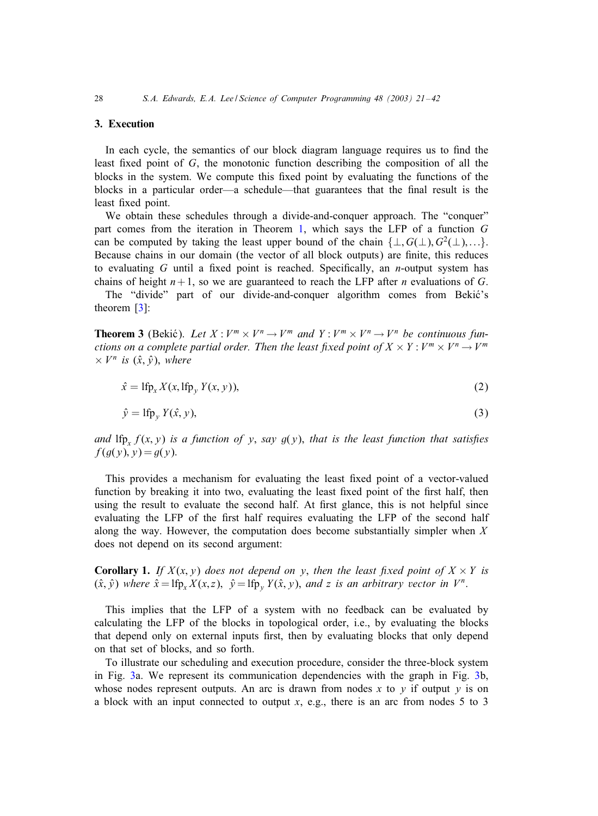# <span id="page-7-0"></span>3. Execution

In each cycle, the semantics of our block diagram language requires us to find the least fixed point of  $G$ , the monotonic function describing the composition of all the blocks in the system. We compute this fixed point by evaluating the functions of the blocks in a particular order—a schedule—that guarantees that the final result is the least fixed point.

We obtain these schedules through a divide-and-conquer approach. The "conquer" part comes from the iteration in Theorem [1,](#page-5-0) which says the LFP of a function G can be computed by taking the least upper bound of the chain  $\{\perp, G(\perp), G^2(\perp), ...\}$ . Because chains in our domain (the vector of all block outputs) are finite, this reduces to evaluating G until a fixed point is reached. Specifically, an *n*-output system has chains of height  $n+1$ , so we are guaranteed to reach the LFP after n evaluations of G.

The "divide" part of our divide-and-conquer algorithm comes from Bekić's theorem [\[3\]](#page-20-0):

**Theorem 3** (Bekić). Let  $X : V^m \times V^n \rightarrow V^m$  and  $Y : V^m \times V^n \rightarrow V^n$  be continuous fun*ctions on a complete partial order. Then the least fixed point of*  $X \times Y : V^m \times V^n \rightarrow V^m$  $\times V^n$  *is*  $(\hat{x}, \hat{y})$ *, where* 

$$
\hat{x} = \text{Ifp}_x X(x, \text{Ifp}_y Y(x, y)),\tag{2}
$$

$$
\hat{y} = \text{Ifp}_y Y(\hat{x}, y),\tag{3}
$$

*and* lfp,  $f(x, y)$  *is a function of* y, *say*  $g(y)$ , *that is the least function that satisfies*  $f(g(y), y) = g(y).$ 

This provides a mechanism for evaluating the least fixed point of a vector-valued function by breaking it into two, evaluating the least fixed point of the first half, then using the result to evaluate the second half. At first glance, this is not helpful since evaluating the LFP of the first half requires evaluating the LFP of the second half along the way. However, the computation does become substantially simpler when  $X$ does not depend on its second argument:

**Corollary 1.** *If*  $X(x, y)$  *does not depend on* y, *then the least fixed point of*  $X \times Y$  *is*  $(\hat{x}, \hat{y})$  *where*  $\hat{x} = \text{lfp}_x X(x, z)$ ,  $\hat{y} = \text{lfp}_y Y(\hat{x}, y)$ , *and* z *is an arbitrary vector in*  $V^n$ .

This implies that the LFP of a system with no feedback can be evaluated by calculating the LFP of the blocks in topological order, i.e., by evaluating the blocks that depend only on external inputs first, then by evaluating blocks that only depend on that set of blocks, and so forth.

To illustrate our scheduling and execution procedure, consider the three-block system in Fig. [3a](#page-5-0). We represent its communication dependencies with the graph in Fig. [3b](#page-5-0), whose nodes represent outputs. An arc is drawn from nodes x to y if output y is on a block with an input connected to output  $x$ , e.g., there is an arc from nodes 5 to 3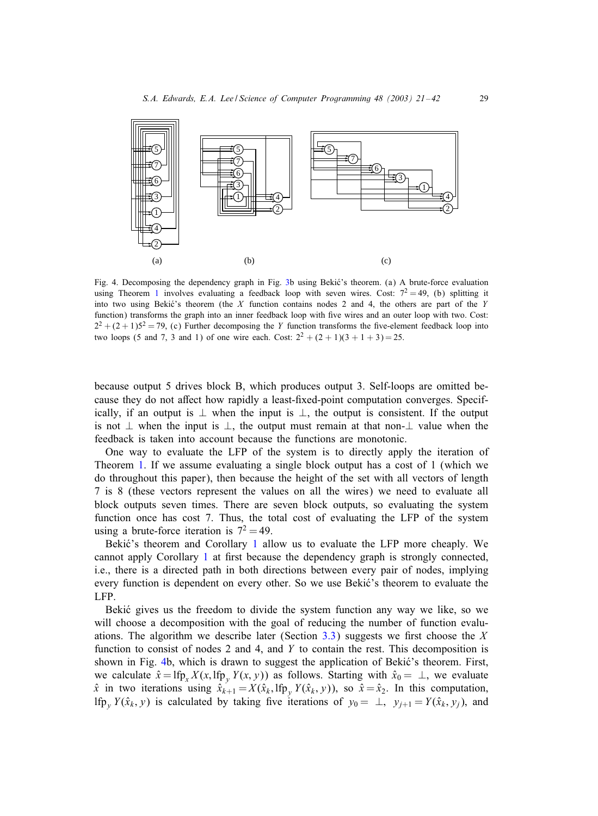

Fig. 4. Decomposing the dependency graph in Fig. [3b](#page-5-0) using Bekić's theorem. (a) A brute-force evaluation using Theorem [1](#page-5-0) involves evaluating a feedback loop with seven wires. Cost:  $7^2 = 49$ , (b) splitting it into two using Bekić's theorem (the  $X$  function contains nodes 2 and 4, the others are part of the Y function) transforms the graph into an inner feedback loop with five wires and an outer loop with two. Cost:  $2^2 + (2+1)5^2 = 79$ , (c) Further decomposing the Y function transforms the five-element feedback loop into two loops (5 and 7, 3 and 1) of one wire each. Cost:  $2^2 + (2 + 1)(3 + 1 + 3) = 25$ .

because output 5 drives block B, which produces output 3. Self-loops are omitted because they do not affect how rapidly a least-fixed-point computation converges. Specifically, if an output is  $\perp$  when the input is  $\perp$ , the output is consistent. If the output is not ⊥ when the input is ⊥, the output must remain at that non-⊥ value when the feedback is taken into account because the functions are monotonic.

One way to evaluate the LFP of the system is to directly apply the iteration of Theorem [1.](#page-5-0) If we assume evaluating a single block output has a cost of 1 (which we do throughout this paper), then because the height of the set with all vectors of length 7 is 8 (these vectors represent the values on all the wires) we need to evaluate all block outputs seven times. There are seven block outputs, so evaluating the system function once has cost 7. Thus, the total cost of evaluating the LFP of the system using a brute-force iteration is  $7^2 = 49$ .

Bekić's theorem and Corollary [1](#page-7-0) allow us to evaluate the LFP more cheaply. We cannot apply Corollary [1](#page-7-0) at first because the dependency graph is strongly connected, i.e., there is a directed path in both directions between every pair of nodes, implying every function is dependent on every other. So we use Bekić's theorem to evaluate the LFP.

Bekić gives us the freedom to divide the system function any way we like, so we will choose a decomposition with the goal of reducing the number of function evalu-ations. The algorithm we describe later (Section [3.3\)](#page-13-0) suggests we first choose the X function to consist of nodes 2 and 4, and  $Y$  to contain the rest. This decomposition is shown in Fig. 4b, which is drawn to suggest the application of Bekić's theorem. First, we calculate  $\hat{x} = \text{Ifp}_x X(x, \text{Ifp}_y Y(x, y))$  as follows. Starting with  $\hat{x}_0 = \perp$ , we evaluate  $\hat{x}$  in two iterations using  $\hat{x}_{k+1} = X(\hat{x}_k, \text{Ifp}_y Y(\hat{x}_k, y))$ , so  $\hat{x} = \hat{x}_2$ . In this computation, lfp<sub>y</sub>  $Y(\hat{x}_k, y)$  is calculated by taking five iterations of  $y_0 = \perp$ ,  $y_{i+1} = Y(\hat{x}_k, y_i)$ , and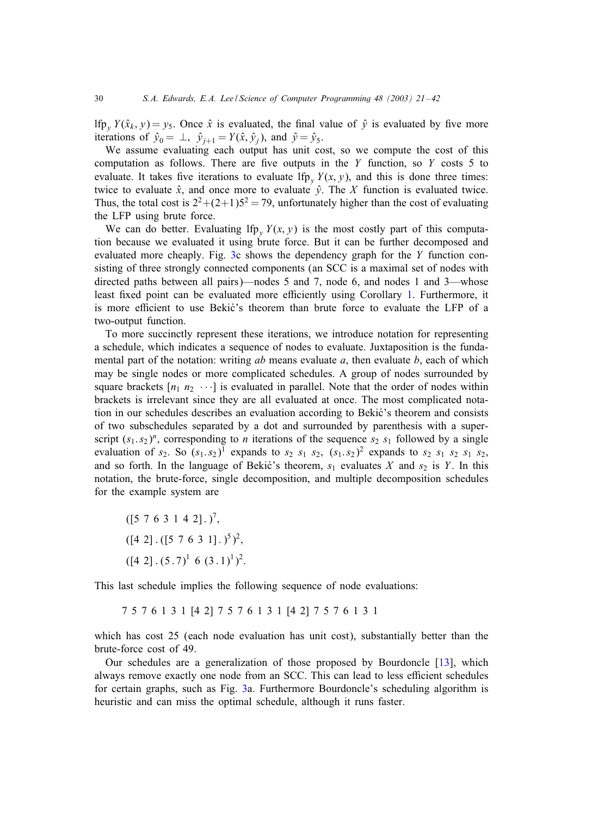lfp<sub>y</sub>  $Y(\hat{x}_k, y) = y_5$ . Once  $\hat{x}$  is evaluated, the final value of  $\hat{y}$  is evaluated by five more iterations of  $\hat{y}_0 = \perp$ ,  $\hat{y}_{i+1} = Y(\hat{x}, \hat{y}_i)$ , and  $\hat{y} = \hat{y}_5$ .

We assume evaluating each output has unit cost, so we compute the cost of this computation as follows. There are five outputs in the  $Y$  function, so  $Y$  costs 5 to evaluate. It takes five iterations to evaluate lfp,  $Y(x, y)$ , and this is done three times: twice to evaluate  $\hat{x}$ , and once more to evaluate  $\hat{y}$ . The X function is evaluated twice. Thus, the total cost is  $2^2 + (2+1)5^2 = 79$ , unfortunately higher than the cost of evaluating the LFP using brute force.

We can do better. Evaluating lfp<sub>y</sub>  $Y(x, y)$  is the most costly part of this computation because we evaluated it using brute force. But it can be further decomposed and evaluated more cheaply. Fig. [3c](#page-5-0) shows the dependency graph for the Y function consisting of three strongly connected components (an SCC is a maximal set of nodes with directed paths between all pairs)—nodes 5 and 7, node 6, and nodes 1 and 3—whose least fixed point can be evaluated more efficiently using Corollary [1.](#page-7-0) Furthermore, it is more efficient to use Bekić's theorem than brute force to evaluate the LFP of a two-output function.

To more succinctly represent these iterations, we introduce notation for representing a schedule, which indicates a sequence of nodes to evaluate. Juxtaposition is the fundamental part of the notation: writing  $ab$  means evaluate  $a$ , then evaluate  $b$ , each of which may be single nodes or more complicated schedules. A group of nodes surrounded by square brackets  $[n_1 \, n_2 \, \cdots]$  is evaluated in parallel. Note that the order of nodes within brackets is irrelevant since they are all evaluated at once. The most complicated notation in our schedules describes an evaluation according to Bekić's theorem and consists of two subschedules separated by a dot and surrounded by parenthesis with a superscript  $(s_1, s_2)^n$ , corresponding to *n* iterations of the sequence  $s_2$   $s_1$  followed by a single evaluation of  $s_2$ . So  $(s_1.s_2)^1$  expands to  $s_2$   $s_1$   $s_2$ ,  $(s_1.s_2)^2$  expands to  $s_2$   $s_1$   $s_2$   $s_1$   $s_2$ , and so forth. In the language of Bekić's theorem,  $s_1$  evaluates X and  $s_2$  is Y. In this notation, the brute-force, single decomposition, and multiple decomposition schedules for the example system are

$$
([5 7 6 3 1 4 2].)7,([4 2].([5 7 6 3 1].)5)2,([4 2].(5.7)1 6 (3.1)1)2.
$$

This last schedule implies the following sequence of node evaluations:

7 5 7 6 1 3 1 [4 2] 7 5 7 6 1 3 1 [4 2] 7 5 7 6 1 3 1

which has cost 25 (each node evaluation has unit cost), substantially better than the brute-force cost of 49.

Our schedules are a generalization of those proposed by Bourdoncle [\[13\]](#page-20-0), which always remove exactly one node from an SCC. This can lead to less efficient schedules for certain graphs, such as Fig. [3a](#page-5-0). Furthermore Bourdoncle's scheduling algorithm is heuristic and can miss the optimal schedule, although it runs faster.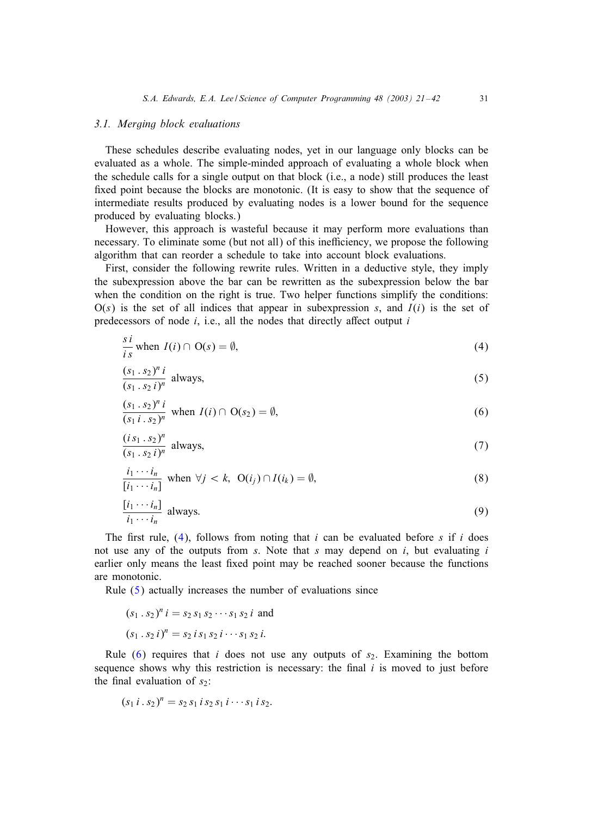#### <span id="page-10-0"></span>*3.1. Merging block evaluations*

These schedules describe evaluating nodes, yet in our language only blocks can be evaluated as a whole. The simple-minded approach of evaluating a whole block when the schedule calls for a single output on that block (i.e., a node) still produces the least fixed point because the blocks are monotonic. (It is easy to show that the sequence of intermediate results produced by evaluating nodes is a lower bound for the sequence produced by evaluating blocks.)

However, this approach is wasteful because it may perform more evaluations than necessary. To eliminate some (but not all) of this inefficiency, we propose the following algorithm that can reorder a schedule to take into account block evaluations.

First, consider the following rewrite rules. Written in a deductive style, they imply the subexpression above the bar can be rewritten as the subexpression below the bar when the condition on the right is true. Two helper functions simplify the conditions:  $O(s)$  is the set of all indices that appear in subexpression s, and  $I(i)$  is the set of predecessors of node  $i$ , i.e., all the nodes that directly affect output  $i$ 

$$
\frac{s \, i}{i \, s} \text{ when } I(i) \cap \mathcal{O}(s) = \emptyset,
$$
\n
$$
(4)
$$

$$
\frac{(s_1 \cdot s_2)^n i}{(s_1 \cdot s_2 i)^n} \text{ always,}
$$
 (5)

$$
\frac{(s_1 \cdot s_2)^n i}{(s_1 i \cdot s_2)^n} \text{ when } I(i) \cap O(s_2) = \emptyset,
$$
\n(6)

$$
\frac{(is_1 \cdot s_2)^n}{(s_1 \cdot s_2 \, i)^n}
$$
 always, (7)

$$
\frac{i_1 \cdots i_n}{[i_1 \cdots i_n]} \text{ when } \forall j < k, \ \mathcal{O}(i_j) \cap I(i_k) = \emptyset,
$$
\n
$$
(8)
$$

$$
\frac{[i_1 \cdots i_n]}{i_1 \cdots i_n}
$$
 always. (9)

The first rule, (4), follows from noting that i can be evaluated before s if i does not use any of the outputs from  $s$ . Note that  $s$  may depend on  $i$ , but evaluating  $i$ earlier only means the least fixed point may be reached sooner because the functions are monotonic.

Rule (5) actually increases the number of evaluations since

$$
(s_1 \cdot s_2)^n i = s_2 s_1 s_2 \cdots s_1 s_2 i
$$
 and  
 $(s_1 \cdot s_2 i)^n = s_2 i s_1 s_2 i \cdots s_1 s_2 i$ .

Rule  $(6)$  requires that i does not use any outputs of  $s<sub>2</sub>$ . Examining the bottom sequence shows why this restriction is necessary: the final  $i$  is moved to just before the final evaluation of  $s_2$ :

$$
(s_1 i . s_2)^n = s_2 s_1 i s_2 s_1 i \cdots s_1 i s_2.
$$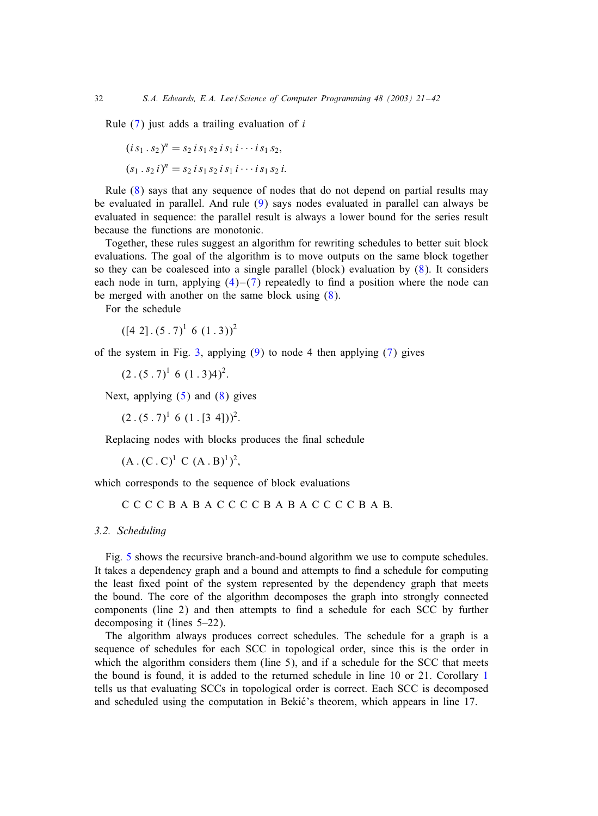Rule  $(7)$  just adds a trailing evaluation of i

$$
(is_1 \tcdot s_2)^n = s_2 \tcdot s_1 \tcdot s_2 \tcdot s_1 \tcdot \tcdot s_1 \tcdot s_2,
$$
  

$$
(s_1 \tcdot s_2 \tcdot i)^n = s_2 \tcdot s_1 \tcdot s_2 \tcdot s_1 \tcdot \tcdot s_1 \tcdot s_2 \tcdot i.
$$

Rule [\(8\)](#page-10-0) says that any sequence of nodes that do not depend on partial results may be evaluated in parallel. And rule [\(9\)](#page-10-0) says nodes evaluated in parallel can always be evaluated in sequence: the parallel result is always a lower bound for the series result because the functions are monotonic.

Together, these rules suggest an algorithm for rewriting schedules to better suit block evaluations. The goal of the algorithm is to move outputs on the same block together so they can be coalesced into a single parallel (block) evaluation by [\(8\)](#page-10-0). It considers each node in turn, applying  $(4)$ – $(7)$  repeatedly to find a position where the node can be merged with another on the same block using [\(8\)](#page-10-0).

For the schedule

 $([4 2] \cdot (5 \cdot 7)^{1} \cdot (1 \cdot 3))^{2}$ 

of the system in Fig. [3,](#page-5-0) applying  $(9)$  to node 4 then applying  $(7)$  gives

 $(2 \cdot (5 \cdot 7)^1 \cdot 6 \cdot (1 \cdot 3)4)^2$ .

Next, applying  $(5)$  and  $(8)$  gives

 $(2 \cdot (5 \cdot 7)^{1} \cdot 6 \cdot (1 \cdot [3 \cdot 4]))^{2}$ .

Replacing nodes with blocks produces the final schedule

 $(A.(C.C)^1.C (A.B)^1)^2,$ 

which corresponds to the sequence of block evaluations

CCCCBABACCCCBABACCCCBAB.

*3.2. Scheduling*

Fig. [5](#page-12-0) shows the recursive branch-and-bound algorithm we use to compute schedules. It takes a dependency graph and a bound and attempts to find a schedule for computing the least fixed point of the system represented by the dependency graph that meets the bound. The core of the algorithm decomposes the graph into strongly connected components (line 2) and then attempts to find a schedule for each SCC by further decomposing it (lines 5–22).

The algorithm always produces correct schedules. The schedule for a graph is a sequence of schedules for each SCC in topological order, since this is the order in which the algorithm considers them (line 5), and if a schedule for the SCC that meets the bound is found, it is added to the returned schedule in line 10 or 21. Corollary [1](#page-7-0) tells us that evaluating SCCs in topological order is correct. Each SCC is decomposed and scheduled using the computation in Bekić's theorem, which appears in line 17.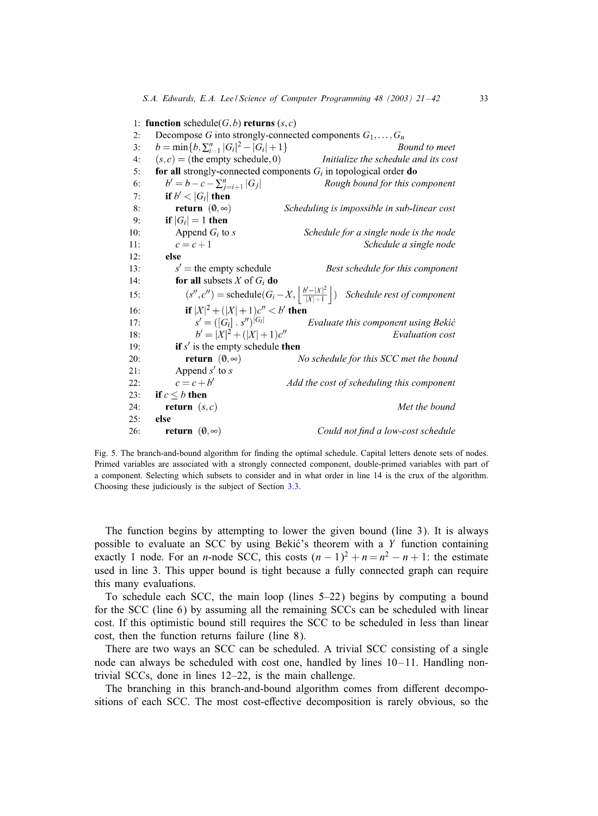<span id="page-12-0"></span>1: function schedule( $G, b$ ) returns  $(s, c)$ Decompose G into strongly-connected components  $G_1, \ldots, G_n$  $2:$  $b = \min\{b, \sum_{i=1}^{n} |G_i|^2 - |G_i| + 1\}$ Bound to meet  $3:$  $(s, c)$  = (the empty schedule, 0) Initialize the schedule and its cost  $4:$ for all strongly-connected components  $G_i$  in topological order do 5.  $b' = b - c - \sum_{i=i+1}^{n} |G_i|$ 6: Rough bound for this component if  $b' < |G_i|$  then  $7:$ return  $(0, \infty)$  $8<sub>1</sub>$ Scheduling is impossible in sub-linear cost if  $|G_i|=1$  then  $9:$ Schedule for a single node is the node  $10:$ Append  $G_i$  to s  $c=c+1$ Schedule a single node  $11$  $12:$ else  $s'$  = the empty schedule  $13:$ Best schedule for this component  $14:$ for all subsets X of  $G_i$  do  $(s'', c'')$  = schedule $(G_i - X, \left\lfloor \frac{b' - |X|^2}{|X| + 1} \right\rfloor)$  Schedule rest of component  $15:$ if  $|X|^2 + (|X|+1)c'' < b'$  then<br>  $s' = ([G_i] \cdot s'')^{|G_i|}$  $16:$ Evaluate this component using Bekić  $17:$  $b' = |X|^2 + (|X|+1)c''$  $18:$ Evaluation cost  $19:$ if  $s'$  is the empty schedule then return  $(0, \infty)$  $20:$ No schedule for this SCC met the bound  $21:$ Append  $s'$  to  $s$  $c=c+b'$ Add the cost of scheduling this component  $22:$  $23:$ if  $c \leq b$  then  $24:$ **return**  $(s, c)$ Met the bound  $25:$ else  $26:$ return  $(0,\infty)$ Could not find a low-cost schedule

Fig. 5. The branch-and-bound algorithm for finding the optimal schedule. Capital letters denote sets of nodes. Primed variables are associated with a strongly connected component, double-primed variables with part of a component. Selecting which subsets to consider and in what order in line 14 is the crux of the algorithm. Choosing these judiciously is the subject of Section [3.3.](#page-13-0)

The function begins by attempting to lower the given bound (line 3). It is always possible to evaluate an SCC by using Bekić's theorem with a  $Y$  function containing exactly 1 node. For an *n*-node SCC, this costs  $(n - 1)^2 + n = n^2 - n + 1$ : the estimate used in line 3. This upper bound is tight because a fully connected graph can require this many evaluations.

To schedule each SCC, the main loop (lines 5–22) begins by computing a bound for the SCC (line 6) by assuming all the remaining SCCs can be scheduled with linear cost. If this optimistic bound still requires the SCC to be scheduled in less than linear cost, then the function returns failure (line 8).

There are two ways an SCC can be scheduled. A trivial SCC consisting of a single node can always be scheduled with cost one, handled by lines  $10-11$ . Handling nontrivial SCCs, done in lines 12–22, is the main challenge.

The branching in this branch-and-bound algorithm comes from diFerent decompositions of each SCC. The most cost-eFective decomposition is rarely obvious, so the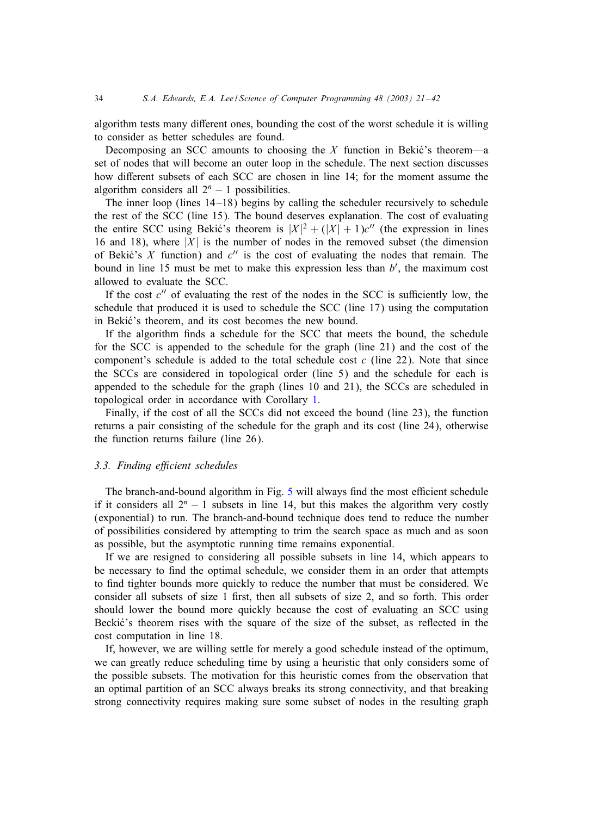<span id="page-13-0"></span>algorithm tests many diFerent ones, bounding the cost of the worst schedule it is willing to consider as better schedules are found.

Decomposing an SCC amounts to choosing the  $X$  function in Bekic's theorem—a set of nodes that will become an outer loop in the schedule. The next section discusses how diFerent subsets of each SCC are chosen in line 14; for the moment assume the algorithm considers all  $2<sup>n</sup> - 1$  possibilities.

The inner loop (lines  $14-18$ ) begins by calling the scheduler recursively to schedule the rest of the SCC (line 15). The bound deserves explanation. The cost of evaluating the entire SCC using Bekić's theorem is  $|X|^2 + (|X| + 1)c''$  (the expression in lines 16 and 18), where  $|X|$  is the number of nodes in the removed subset (the dimension of Bekić's X function) and  $c''$  is the cost of evaluating the nodes that remain. The bound in line 15 must be met to make this expression less than  $b'$ , the maximum cost allowed to evaluate the SCC.

If the cost  $c''$  of evaluating the rest of the nodes in the SCC is sufficiently low, the schedule that produced it is used to schedule the SCC (line 17) using the computation in Bekić's theorem, and its cost becomes the new bound.

If the algorithm finds a schedule for the SCC that meets the bound, the schedule for the SCC is appended to the schedule for the graph (line 21) and the cost of the component's schedule is added to the total schedule cost  $c$  (line 22). Note that since the SCCs are considered in topological order (line 5) and the schedule for each is appended to the schedule for the graph (lines 10 and 21), the SCCs are scheduled in topological order in accordance with Corollary [1.](#page-7-0)

Finally, if the cost of all the SCCs did not exceed the bound (line 23), the function returns a pair consisting of the schedule for the graph and its cost (line 24), otherwise the function returns failure (line 26).

#### 3.3. Finding efficient schedules

The branch-and-bound algorithm in Fig. [5](#page-12-0) will always find the most efficient schedule if it considers all  $2<sup>n</sup> - 1$  subsets in line 14, but this makes the algorithm very costly (exponential) to run. The branch-and-bound technique does tend to reduce the number of possibilities considered by attempting to trim the search space as much and as soon as possible, but the asymptotic running time remains exponential.

If we are resigned to considering all possible subsets in line 14, which appears to be necessary to find the optimal schedule, we consider them in an order that attempts to find tighter bounds more quickly to reduce the number that must be considered. We consider all subsets of size 1 first, then all subsets of size 2, and so forth. This order should lower the bound more quickly because the cost of evaluating an SCC using Beckić's theorem rises with the square of the size of the subset, as reflected in the cost computation in line 18.

If, however, we are willing settle for merely a good schedule instead of the optimum, we can greatly reduce scheduling time by using a heuristic that only considers some of the possible subsets. The motivation for this heuristic comes from the observation that an optimal partition of an SCC always breaks its strong connectivity, and that breaking strong connectivity requires making sure some subset of nodes in the resulting graph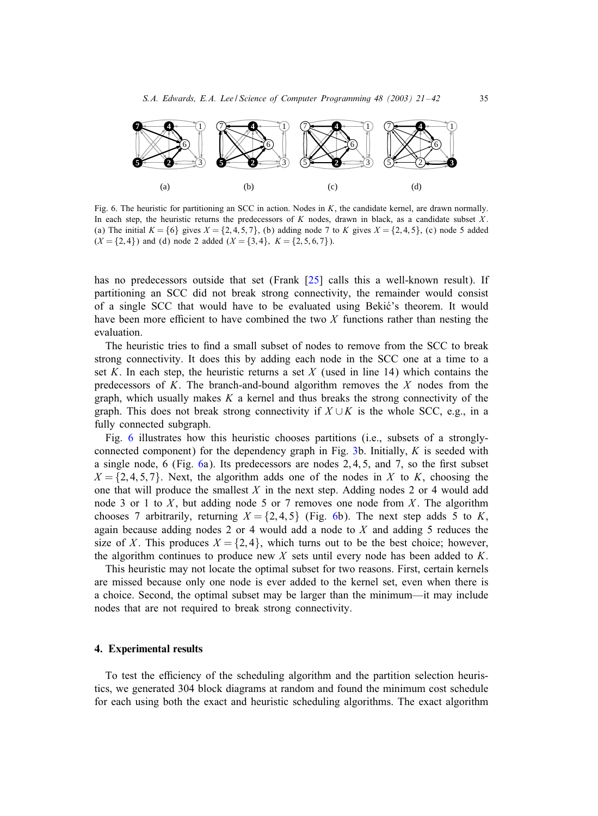

Fig. 6. The heuristic for partitioning an SCC in action. Nodes in K, the candidate kernel, are drawn normally. In each step, the heuristic returns the predecessors of  $K$  nodes, drawn in black, as a candidate subset  $X$ . (a) The initial  $K = \{6\}$  gives  $X = \{2, 4, 5, 7\}$ , (b) adding node 7 to K gives  $X = \{2, 4, 5\}$ , (c) node 5 added  $(X = \{2, 4\})$  and (d) node 2 added  $(X = \{3, 4\}, K = \{2, 5, 6, 7\})$ .

has no predecessors outside that set (Frank [\[25\]](#page-21-0) calls this a well-known result). If partitioning an SCC did not break strong connectivity, the remainder would consist of a single SCC that would have to be evaluated using Bekić's theorem. It would have been more efficient to have combined the two  $X$  functions rather than nesting the evaluation.

The heuristic tries to find a small subset of nodes to remove from the SCC to break strong connectivity. It does this by adding each node in the SCC one at a time to a set K. In each step, the heuristic returns a set X (used in line 14) which contains the predecessors of K. The branch-and-bound algorithm removes the  $X$  nodes from the graph, which usually makes  $K$  a kernel and thus breaks the strong connectivity of the graph. This does not break strong connectivity if  $X \cup K$  is the whole SCC, e.g., in a fully connected subgraph.

Fig. 6 illustrates how this heuristic chooses partitions (i.e., subsets of a strongly-connected component) for the dependency graph in Fig. [3b](#page-5-0). Initially,  $K$  is seeded with a single node,  $6$  (Fig. 6a). Its predecessors are nodes  $2, 4, 5$ , and  $7$ , so the first subset  $X = \{2, 4, 5, 7\}$ . Next, the algorithm adds one of the nodes in X to K, choosing the one that will produce the smallest  $X$  in the next step. Adding nodes 2 or 4 would add node 3 or 1 to  $X$ , but adding node 5 or 7 removes one node from  $X$ . The algorithm chooses 7 arbitrarily, returning  $X = \{2, 4, 5\}$  (Fig. 6b). The next step adds 5 to K, again because adding nodes 2 or 4 would add a node to  $X$  and adding 5 reduces the size of X. This produces  $X = \{2, 4\}$ , which turns out to be the best choice; however, the algorithm continues to produce new  $X$  sets until every node has been added to  $K$ .

This heuristic may not locate the optimal subset for two reasons. First, certain kernels are missed because only one node is ever added to the kernel set, even when there is a choice. Second, the optimal subset may be larger than the minimum—it may include nodes that are not required to break strong connectivity.

#### 4. Experimental results

To test the efficiency of the scheduling algorithm and the partition selection heuristics, we generated 304 block diagrams at random and found the minimum cost schedule for each using both the exact and heuristic scheduling algorithms. The exact algorithm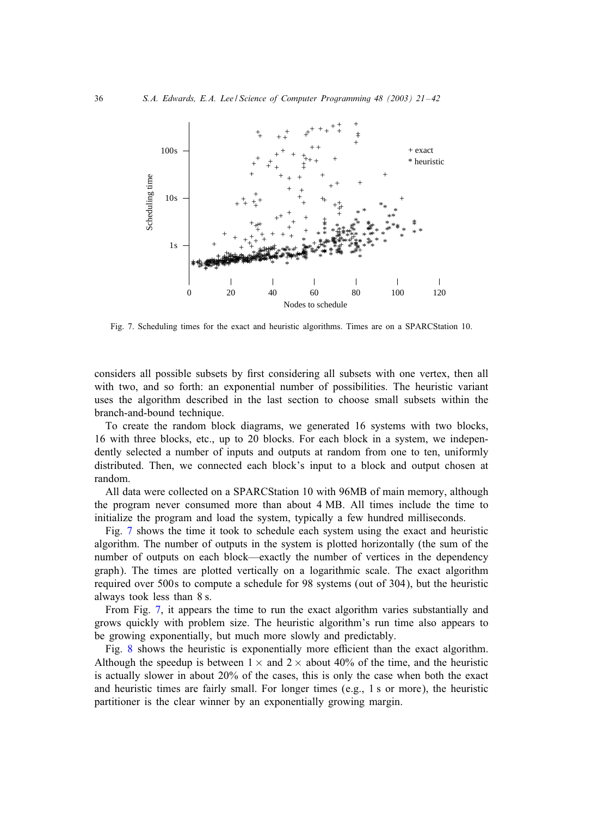

Fig. 7. Scheduling times for the exact and heuristic algorithms. Times are on a SPARCStation 10.

considers all possible subsets by first considering all subsets with one vertex, then all with two, and so forth: an exponential number of possibilities. The heuristic variant uses the algorithm described in the last section to choose small subsets within the branch-and-bound technique.

To create the random block diagrams, we generated 16 systems with two blocks, 16 with three blocks, etc., up to 20 blocks. For each block in a system, we independently selected a number of inputs and outputs at random from one to ten, uniformly distributed. Then, we connected each block's input to a block and output chosen at random.

All data were collected on a SPARCStation 10 with 96MB of main memory, although the program never consumed more than about 4 MB. All times include the time to initialize the program and load the system, typically a few hundred milliseconds.

Fig. 7 shows the time it took to schedule each system using the exact and heuristic algorithm. The number of outputs in the system is plotted horizontally (the sum of the number of outputs on each block—exactly the number of vertices in the dependency graph). The times are plotted vertically on a logarithmic scale. The exact algorithm required over 500s to compute a schedule for 98 systems (out of 304), but the heuristic always took less than 8 s.

From Fig. 7, it appears the time to run the exact algorithm varies substantially and grows quickly with problem size. The heuristic algorithm's run time also appears to be growing exponentially, but much more slowly and predictably.

Fig. [8](#page-16-0) shows the heuristic is exponentially more efficient than the exact algorithm. Although the speedup is between  $1 \times$  and  $2 \times$  about 40% of the time, and the heuristic is actually slower in about 20% of the cases, this is only the case when both the exact and heuristic times are fairly small. For longer times (e.g., 1 s or more), the heuristic partitioner is the clear winner by an exponentially growing margin.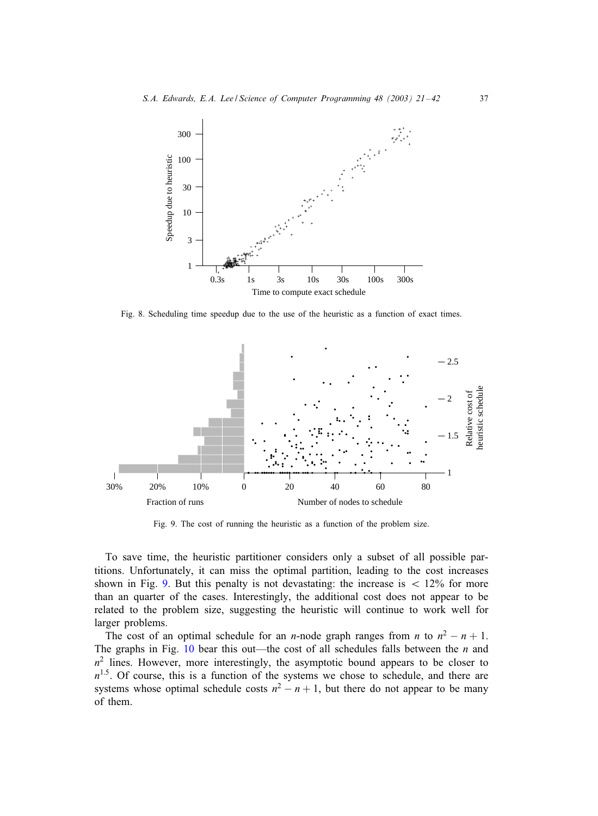<span id="page-16-0"></span>

Fig. 8. Scheduling time speedup due to the use of the heuristic as a function of exact times.



Fig. 9. The cost of running the heuristic as a function of the problem size.

To save time, the heuristic partitioner considers only a subset of all possible partitions. Unfortunately, it can miss the optimal partition, leading to the cost increases shown in Fig. 9. But this penalty is not devastating: the increase is  $\langle 12\% \rangle$  for more than an quarter of the cases. Interestingly, the additional cost does not appear to be related to the problem size, suggesting the heuristic will continue to work well for larger problems.

The cost of an optimal schedule for an *n*-node graph ranges from *n* to  $n^2 - n + 1$ . The graphs in Fig. [10](#page-17-0) bear this out—the cost of all schedules falls between the  $n$  and  $n<sup>2</sup>$  lines. However, more interestingly, the asymptotic bound appears to be closer to  $n^{1.5}$ . Of course, this is a function of the systems we chose to schedule, and there are systems whose optimal schedule costs  $n^2 - n + 1$ , but there do not appear to be many of them.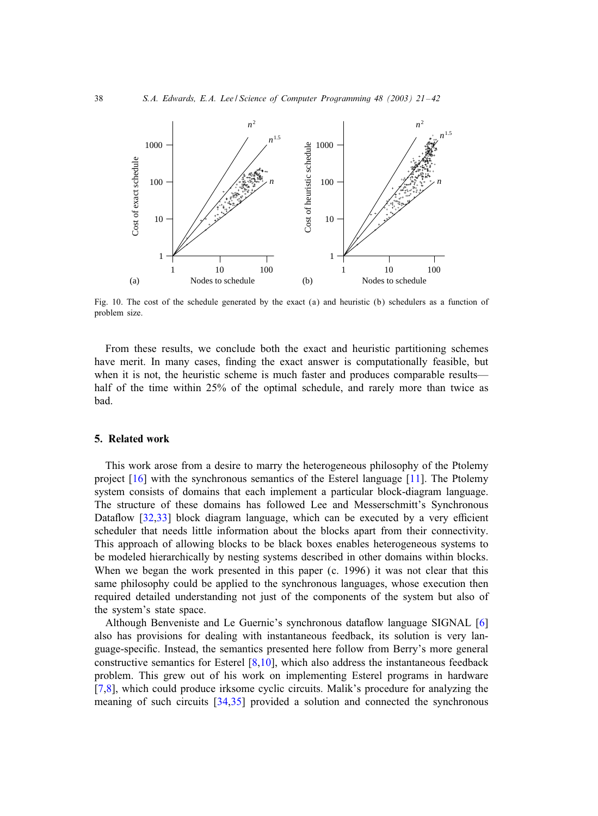<span id="page-17-0"></span>

Fig. 10. The cost of the schedule generated by the exact (a) and heuristic (b) schedulers as a function of problem size.

From these results, we conclude both the exact and heuristic partitioning schemes have merit. In many cases, finding the exact answer is computationally feasible, but when it is not, the heuristic scheme is much faster and produces comparable results half of the time within 25% of the optimal schedule, and rarely more than twice as bad.

# 5. Related work

This work arose from a desire to marry the heterogeneous philosophy of the Ptolemy project [\[16\]](#page-20-0) with the synchronous semantics of the Esterel language [\[11\]](#page-20-0). The Ptolemy system consists of domains that each implement a particular block-diagram language. The structure of these domains has followed Lee and Messerschmitt's Synchronous Dataflow  $[32,33]$  block diagram language, which can be executed by a very efficient scheduler that needs little information about the blocks apart from their connectivity. This approach of allowing blocks to be black boxes enables heterogeneous systems to be modeled hierarchically by nesting systems described in other domains within blocks. When we began the work presented in this paper (c. 1996) it was not clear that this same philosophy could be applied to the synchronous languages, whose execution then required detailed understanding not just of the components of the system but also of the system's state space.

Although Benveniste and Le Guernic's synchronous dataflow language SIGNAL [\[6\]](#page-20-0) also has provisions for dealing with instantaneous feedback, its solution is very language-specific. Instead, the semantics presented here follow from Berry's more general constructive semantics for Esterel  $[8,10]$ , which also address the instantaneous feedback problem. This grew out of his work on implementing Esterel programs in hardware [\[7,8\]](#page-20-0), which could produce irksome cyclic circuits. Malik's procedure for analyzing the meaning of such circuits [\[34,35\]](#page-21-0) provided a solution and connected the synchronous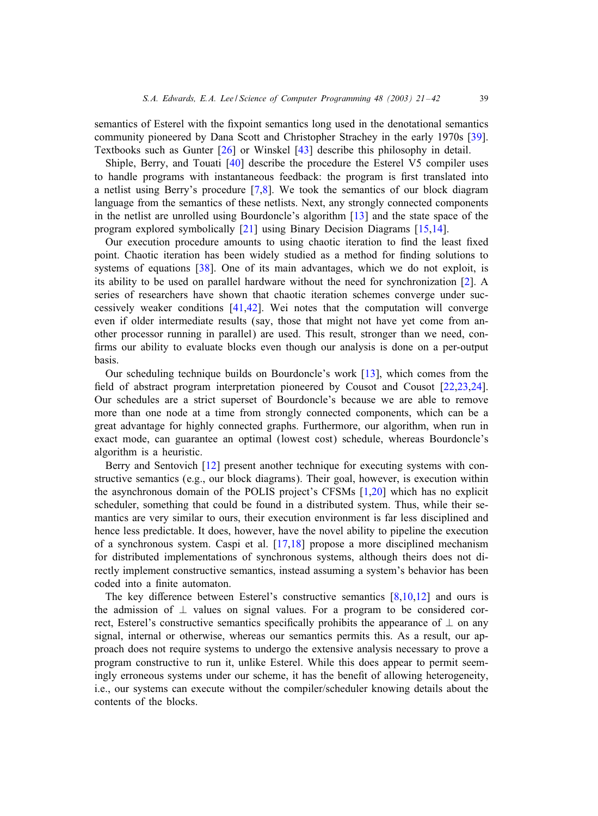semantics of Esterel with the fixpoint semantics long used in the denotational semantics community pioneered by Dana Scott and Christopher Strachey in the early 1970s [\[39\]](#page-21-0). Textbooks such as Gunter [\[26\]](#page-21-0) or Winskel [\[43\]](#page-21-0) describe this philosophy in detail.

Shiple, Berry, and Touati [\[40\]](#page-21-0) describe the procedure the Esterel V5 compiler uses to handle programs with instantaneous feedback: the program is first translated into a netlist using Berry's procedure [\[7,8\]](#page-20-0). We took the semantics of our block diagram language from the semantics of these netlists. Next, any strongly connected components in the netlist are unrolled using Bourdoncle's algorithm [\[13\]](#page-20-0) and the state space of the program explored symbolically [\[21\]](#page-20-0) using Binary Decision Diagrams [\[15,14\]](#page-20-0).

Our execution procedure amounts to using chaotic iteration to find the least fixed point. Chaotic iteration has been widely studied as a method for finding solutions to systems of equations [\[38\]](#page-21-0). One of its main advantages, which we do not exploit, is its ability to be used on parallel hardware without the need for synchronization [\[2\]](#page-20-0). A series of researchers have shown that chaotic iteration schemes converge under successively weaker conditions [\[41,42\]](#page-21-0). Wei notes that the computation will converge even if older intermediate results (say, those that might not have yet come from another processor running in parallel) are used. This result, stronger than we need, confirms our ability to evaluate blocks even though our analysis is done on a per-output basis.

Our scheduling technique builds on Bourdoncle's work [\[13\]](#page-20-0), which comes from the field of abstract program interpretation pioneered by Cousot and Cousot  $[22,23,24]$ . Our schedules are a strict superset of Bourdoncle's because we are able to remove more than one node at a time from strongly connected components, which can be a great advantage for highly connected graphs. Furthermore, our algorithm, when run in exact mode, can guarantee an optimal (lowest cost) schedule, whereas Bourdoncle's algorithm is a heuristic.

Berry and Sentovich [\[12\]](#page-20-0) present another technique for executing systems with constructive semantics (e.g., our block diagrams). Their goal, however, is execution within the asynchronous domain of the POLIS project's CFSMs [\[1,20\]](#page-20-0) which has no explicit scheduler, something that could be found in a distributed system. Thus, while their semantics are very similar to ours, their execution environment is far less disciplined and hence less predictable. It does, however, have the novel ability to pipeline the execution of a synchronous system. Caspi et al. [\[17,18\]](#page-20-0) propose a more disciplined mechanism for distributed implementations of synchronous systems, although theirs does not directly implement constructive semantics, instead assuming a system's behavior has been coded into a finite automaton.

The key difference between Esterel's constructive semantics  $[8,10,12]$  and ours is the admission of  $\perp$  values on signal values. For a program to be considered correct, Esterel's constructive semantics specifically prohibits the appearance of  $\perp$  on any signal, internal or otherwise, whereas our semantics permits this. As a result, our approach does not require systems to undergo the extensive analysis necessary to prove a program constructive to run it, unlike Esterel. While this does appear to permit seemingly erroneous systems under our scheme, it has the benefit of allowing heterogeneity, i.e., our systems can execute without the compiler/scheduler knowing details about the contents of the blocks.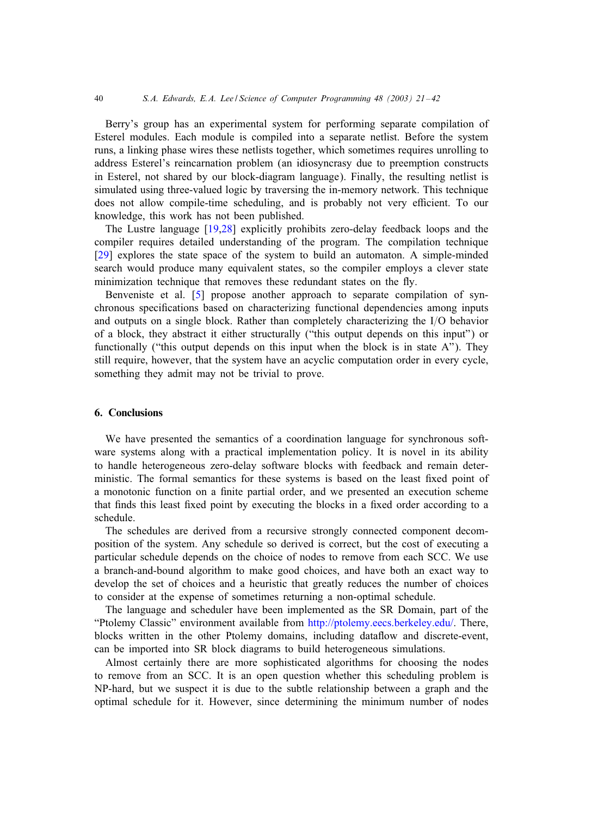Berry's group has an experimental system for performing separate compilation of Esterel modules. Each module is compiled into a separate netlist. Before the system runs, a linking phase wires these netlists together, which sometimes requires unrolling to address Esterel's reincarnation problem (an idiosyncrasy due to preemption constructs in Esterel, not shared by our block-diagram language). Finally, the resulting netlist is simulated using three-valued logic by traversing the in-memory network. This technique does not allow compile-time scheduling, and is probably not very efficient. To our knowledge, this work has not been published.

The Lustre language [\[19,](#page-20-0)[28\]](#page-21-0) explicitly prohibits zero-delay feedback loops and the compiler requires detailed understanding of the program. The compilation technique [\[29\]](#page-21-0) explores the state space of the system to build an automaton. A simple-minded search would produce many equivalent states, so the compiler employs a clever state minimization technique that removes these redundant states on the fly.

Benveniste et al. [\[5\]](#page-20-0) propose another approach to separate compilation of synchronous specifications based on characterizing functional dependencies among inputs and outputs on a single block. Rather than completely characterizing the  $I/O$  behavior of a block, they abstract it either structurally ("this output depends on this input") or functionally ("this output depends on this input when the block is in state A"). They still require, however, that the system have an acyclic computation order in every cycle, something they admit may not be trivial to prove.

#### 6. Conclusions

We have presented the semantics of a coordination language for synchronous software systems along with a practical implementation policy. It is novel in its ability to handle heterogeneous zero-delay software blocks with feedback and remain deterministic. The formal semantics for these systems is based on the least fixed point of a monotonic function on a finite partial order, and we presented an execution scheme that finds this least fixed point by executing the blocks in a fixed order according to a schedule.

The schedules are derived from a recursive strongly connected component decomposition of the system. Any schedule so derived is correct, but the cost of executing a particular schedule depends on the choice of nodes to remove from each SCC. We use a branch-and-bound algorithm to make good choices, and have both an exact way to develop the set of choices and a heuristic that greatly reduces the number of choices to consider at the expense of sometimes returning a non-optimal schedule.

The language and scheduler have been implemented as the SR Domain, part of the "Ptolemy Classic" environment available from [http://ptolemy.eecs.berkeley.edu/.](http://ptolemy.eecs.berkeley.edu/) There, blocks written in the other Ptolemy domains, including dataflow and discrete-event, can be imported into SR block diagrams to build heterogeneous simulations.

Almost certainly there are more sophisticated algorithms for choosing the nodes to remove from an SCC. It is an open question whether this scheduling problem is NP-hard, but we suspect it is due to the subtle relationship between a graph and the optimal schedule for it. However, since determining the minimum number of nodes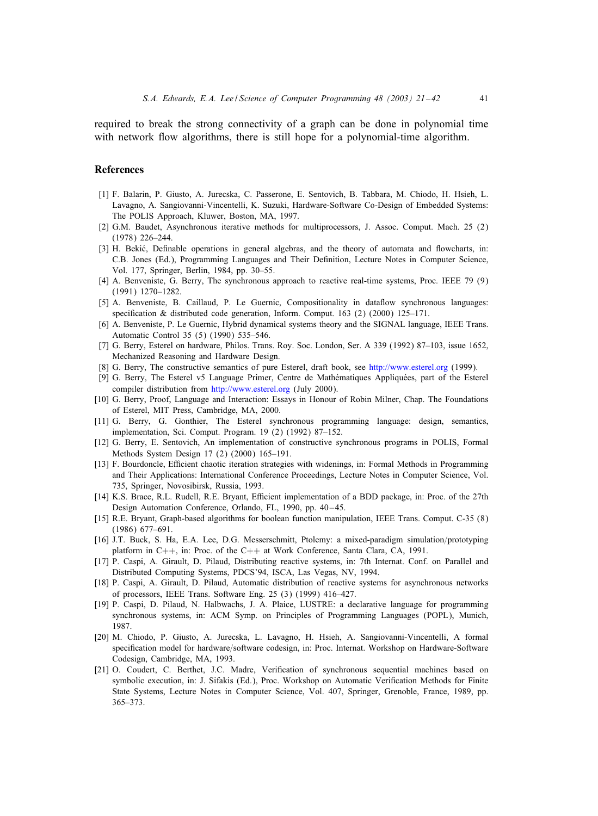<span id="page-20-0"></span>required to break the strong connectivity of a graph can be done in polynomial time with network flow algorithms, there is still hope for a polynomial-time algorithm.

### **References**

- [1] F. Balarin, P. Giusto, A. Jurecska, C. Passerone, E. Sentovich, B. Tabbara, M. Chiodo, H. Hsieh, L. Lavagno, A. Sangiovanni-Vincentelli, K. Suzuki, Hardware-Software Co-Design of Embedded Systems: The POLIS Approach, Kluwer, Boston, MA, 1997.
- [2] G.M. Baudet, Asynchronous iterative methods for multiprocessors, J. Assoc. Comput. Mach. 25 (2) (1978) 226–244.
- [3] H. Bekić, Definable operations in general algebras, and the theory of automata and flowcharts, in: C.B. Jones (Ed.), Programming Languages and Their Definition, Lecture Notes in Computer Science, Vol. 177, Springer, Berlin, 1984, pp. 30–55.
- [4] A. Benveniste, G. Berry, The synchronous approach to reactive real-time systems, Proc. IEEE 79 (9) (1991) 1270–1282.
- [5] A. Benveniste, B. Caillaud, P. Le Guernic, Compositionality in dataflow synchronous languages: specification & distributed code generation, Inform. Comput.  $163$  (2) (2000)  $125-171$ .
- [6] A. Benveniste, P. Le Guernic, Hybrid dynamical systems theory and the SIGNAL language, IEEE Trans. Automatic Control 35 (5) (1990) 535–546.
- [7] G. Berry, Esterel on hardware, Philos. Trans. Roy. Soc. London, Ser. A 339 (1992) 87–103, issue 1652, Mechanized Reasoning and Hardware Design.
- [8] G. Berry, The constructive semantics of pure Esterel, draft book, see <http://www.esterel.org> (1999).
- [9] G. Berry, The Esterel v5 Language Primer, Centre de Mathématiques Appliquées, part of the Esterel compiler distribution from <http://www.esterel.org> (July 2000).
- [10] G. Berry, Proof, Language and Interaction: Essays in Honour of Robin Milner, Chap. The Foundations of Esterel, MIT Press, Cambridge, MA, 2000.
- [11] G. Berry, G. Gonthier, The Esterel synchronous programming language: design, semantics, implementation, Sci. Comput. Program. 19 (2) (1992) 87–152.
- [12] G. Berry, E. Sentovich, An implementation of constructive synchronous programs in POLIS, Formal Methods System Design 17 (2) (2000) 165–191.
- [13] F. Bourdoncle, Efficient chaotic iteration strategies with widenings, in: Formal Methods in Programming and Their Applications: International Conference Proceedings, Lecture Notes in Computer Science, Vol. 735, Springer, Novosibirsk, Russia, 1993.
- [14] K.S. Brace, R.L. Rudell, R.E. Bryant, Efficient implementation of a BDD package, in: Proc. of the 27th Design Automation Conference, Orlando, FL, 1990, pp. 40-45.
- [15] R.E. Bryant, Graph-based algorithms for boolean function manipulation, IEEE Trans. Comput. C-35 (8) (1986) 677–691.
- [16] J.T. Buck, S. Ha, E.A. Lee, D.G. Messerschmitt, Ptolemy: a mixed-paradigm simulation/prototyping platform in C++, in: Proc. of the C++ at Work Conference, Santa Clara, CA, 1991.
- [17] P. Caspi, A. Girault, D. Pilaud, Distributing reactive systems, in: 7th Internat. Conf. on Parallel and Distributed Computing Systems, PDCS'94, ISCA, Las Vegas, NV, 1994.
- [18] P. Caspi, A. Girault, D. Pilaud, Automatic distribution of reactive systems for asynchronous networks of processors, IEEE Trans. Software Eng. 25 (3) (1999) 416–427.
- [19] P. Caspi, D. Pilaud, N. Halbwachs, J. A. Plaice, LUSTRE: a declarative language for programming synchronous systems, in: ACM Symp. on Principles of Programming Languages (POPL), Munich, 1987.
- [20] M. Chiodo, P. Giusto, A. Jurecska, L. Lavagno, H. Hsieh, A. Sangiovanni-Vincentelli, A formal specification model for hardware/software codesign, in: Proc. Internat. Workshop on Hardware-Software Codesign, Cambridge, MA, 1993.
- [21] O. Coudert, C. Berthet, J.C. Madre, Verification of synchronous sequential machines based on symbolic execution, in: J. Sifakis (Ed.), Proc. Workshop on Automatic Verification Methods for Finite State Systems, Lecture Notes in Computer Science, Vol. 407, Springer, Grenoble, France, 1989, pp. 365–373.